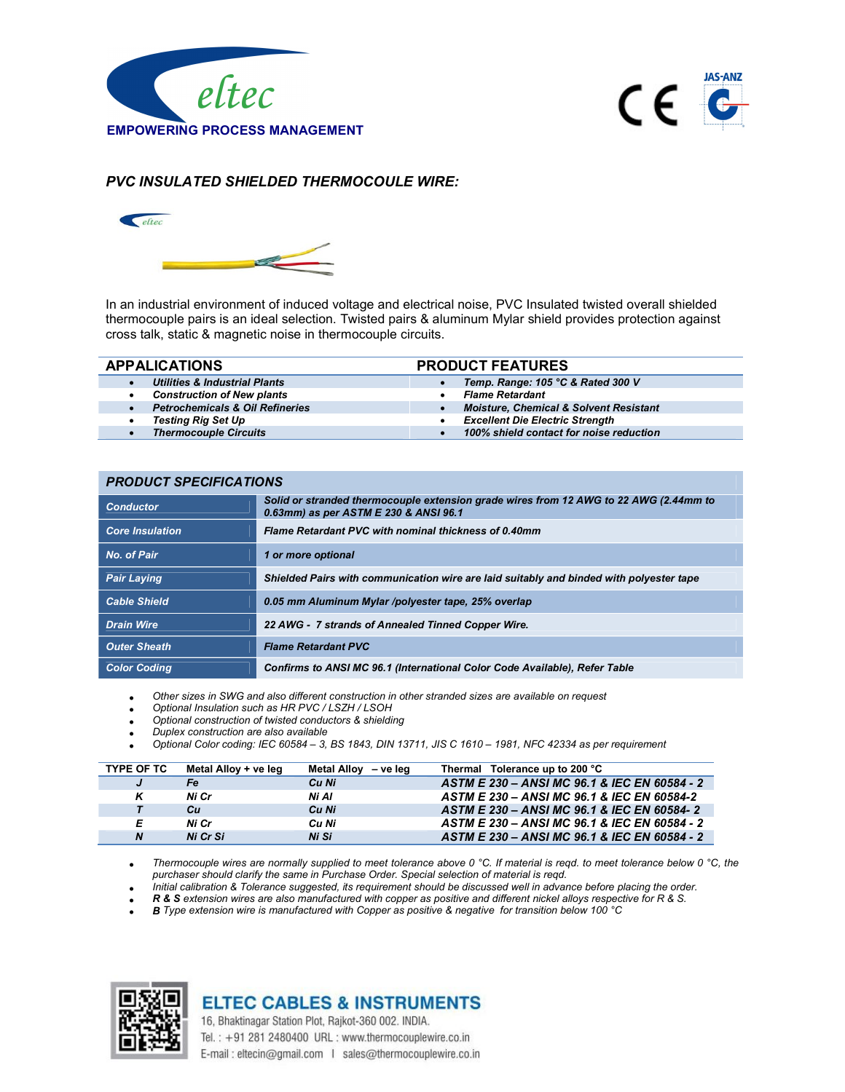



## PVC INSULATED SHIELDED THERMOCOULE WIRE:



In an industrial environment of induced voltage and electrical noise, PVC Insulated twisted overall shielded thermocouple pairs is an ideal selection. Twisted pairs & aluminum Mylar shield provides protection against cross talk, static & magnetic noise in thermocouple circuits.

| <b>APPALICATIONS</b>                       | <b>PRODUCT FEATURES</b>                           |
|--------------------------------------------|---------------------------------------------------|
| <b>Utilities &amp; Industrial Plants</b>   | Temp. Range: 105 °C & Rated 300 V                 |
| <b>Construction of New plants</b>          | <b>Flame Retardant</b>                            |
| <b>Petrochemicals &amp; Oil Refineries</b> | <b>Moisture, Chemical &amp; Solvent Resistant</b> |
| Testing Rig Set Up                         | <b>Excellent Die Electric Strength</b>            |
| <b>Thermocouple Circuits</b>               | 100% shield contact for noise reduction           |

| PRODUCT SPECIFICATIONS |                                                                                                                                |  |  |
|------------------------|--------------------------------------------------------------------------------------------------------------------------------|--|--|
| <b>Conductor</b>       | Solid or stranded thermocouple extension grade wires from 12 AWG to 22 AWG (2.44mm to<br>0.63mm) as per ASTM E 230 & ANSI 96.1 |  |  |
| <b>Core Insulation</b> | Flame Retardant PVC with nominal thickness of 0.40mm                                                                           |  |  |
| No. of Pair            | 1 or more optional                                                                                                             |  |  |
| <b>Pair Laying</b>     | Shielded Pairs with communication wire are laid suitably and binded with polyester tape                                        |  |  |
| <b>Cable Shield</b>    | 0.05 mm Aluminum Mylar /polyester tape, 25% overlap                                                                            |  |  |
| <b>Drain Wire</b>      | 22 AWG - 7 strands of Annealed Tinned Copper Wire.                                                                             |  |  |
| <b>Outer Sheath</b>    | <b>Flame Retardant PVC</b>                                                                                                     |  |  |
| <b>Color Coding</b>    | Confirms to ANSI MC 96.1 (International Color Code Available), Refer Table                                                     |  |  |

Other sizes in SWG and also different construction in other stranded sizes are available on request

- Optional Insulation such as HR PVC / LSZH / LSOH
- Optional construction of twisted conductors & shielding
- Duplex construction are also available

PRODUCT SPECIFICATIONS

Optional Color coding: IEC 60584 – 3, BS 1843, DIN 13711, JIS C 1610 – 1981, NFC 42334 as per requirement

| <b>TYPE OF TC</b> | Metal Alloy + ve leg | Metal Alloy - ve leg | Thermal Tolerance up to 200 °C               |
|-------------------|----------------------|----------------------|----------------------------------------------|
|                   | Fe i                 | Cu Ni                | ASTM E 230 - ANSI MC 96.1 & IEC EN 60584 - 2 |
| ĸ                 | Ni Cr                | Ni Al                | ASTM E 230 - ANSI MC 96.1 & IEC EN 60584-2   |
|                   | Сu                   | Cu Ni                | ASTM E 230 - ANSI MC 96.1 & IEC EN 60584-2   |
| F.                | Ni Cr                | Cu Ni                | ASTM E 230 - ANSI MC 96.1 & IEC EN 60584 - 2 |
| N                 | Ni Cr Si             | Ni Si                | ASTM E 230 - ANSI MC 96.1 & IEC EN 60584 - 2 |

Thermocouple wires are normally supplied to meet tolerance above 0 °C. If material is reqd. to meet tolerance below 0 °C, the purchaser should clarify the same in Purchase Order. Special selection of material is reqd.

- Initial calibration & Tolerance suggested, its requirement should be discussed well in advance before placing the order.
- R & S extension wires are also manufactured with copper as positive and different nickel alloys respective for R & S.
- B Type extension wire is manufactured with Copper as positive & negative for transition below 100 °C



## **ELTEC CABLES & INSTRUMENTS**

16, Bhaktinagar Station Plot, Rajkot-360 002. INDIA. Tel.: +91 281 2480400 URL: www.thermocouplewire.co.in E-mail: eltecin@gmail.com | sales@thermocouplewire.co.in